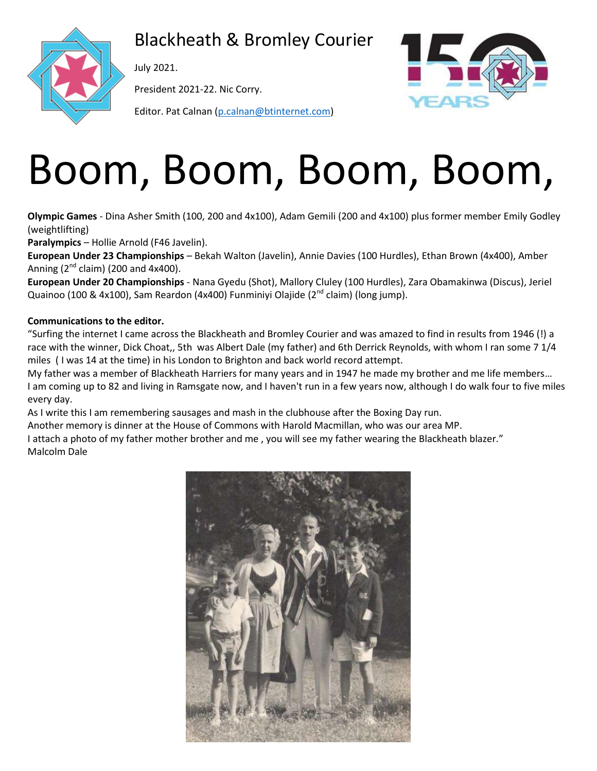

Blackheath & Bromley Courier

July 2021.

President 2021-22. Nic Corry.

Editor. Pat Calnan [\(p.calnan@btinternet.com\)](mailto:p.calnan@btinternet.com)



# Boom, Boom, Boom, Boom,

**Olympic Games** - Dina Asher Smith (100, 200 and 4x100), Adam Gemili (200 and 4x100) plus former member Emily Godley (weightlifting)

**Paralympics** – Hollie Arnold (F46 Javelin).

**European Under 23 Championships** – Bekah Walton (Javelin), Annie Davies (100 Hurdles), Ethan Brown (4x400), Amber Anning  $(2^{nd}$  claim) (200 and 4x400).

**European Under 20 Championships** - Nana Gyedu (Shot), Mallory Cluley (100 Hurdles), Zara Obamakinwa (Discus), Jeriel Quainoo (100 & 4x100), Sam Reardon (4x400) Funminiyi Olajide (2<sup>nd</sup> claim) (long jump).

#### **Communications to the editor.**

"Surfing the internet I came across the Blackheath and Bromley Courier and was amazed to find in results from 1946 (!) a race with the winner, Dick Choat,, 5th was Albert Dale (my father) and 6th Derrick Reynolds, with whom I ran some 7 1/4 miles ( I was 14 at the time) in his London to Brighton and back world record attempt.

My father was a member of Blackheath Harriers for many years and in 1947 he made my brother and me life members… I am coming up to 82 and living in Ramsgate now, and I haven't run in a few years now, although I do walk four to five miles every day.

As I write this I am remembering sausages and mash in the clubhouse after the Boxing Day run.

Another memory is dinner at the House of Commons with Harold Macmillan, who was our area MP.

I attach a photo of my father mother brother and me , you will see my father wearing the Blackheath blazer." Malcolm Dale

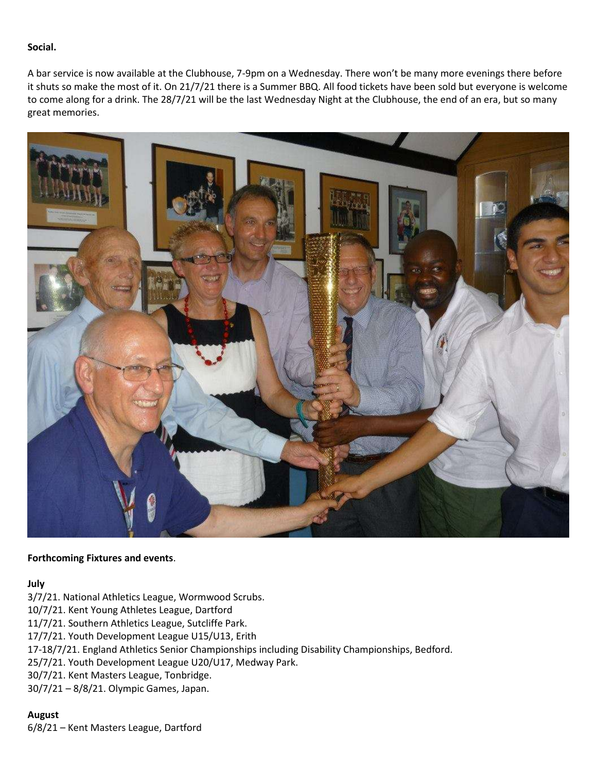#### **Social.**

A bar service is now available at the Clubhouse, 7-9pm on a Wednesday. There won't be many more evenings there before it shuts so make the most of it. On 21/7/21 there is a Summer BBQ. All food tickets have been sold but everyone is welcome to come along for a drink. The 28/7/21 will be the last Wednesday Night at the Clubhouse, the end of an era, but so many great memories.



#### **Forthcoming Fixtures and events**.

#### **July**

- 3/7/21. National Athletics League, Wormwood Scrubs.
- 10/7/21. Kent Young Athletes League, Dartford
- 11/7/21. Southern Athletics League, Sutcliffe Park.
- 17/7/21. Youth Development League U15/U13, Erith
- 17-18/7/21. England Athletics Senior Championships including Disability Championships, Bedford.
- 25/7/21. Youth Development League U20/U17, Medway Park.
- 30/7/21. Kent Masters League, Tonbridge.
- 30/7/21 8/8/21. Olympic Games, Japan.

## **August**

6/8/21 – Kent Masters League, Dartford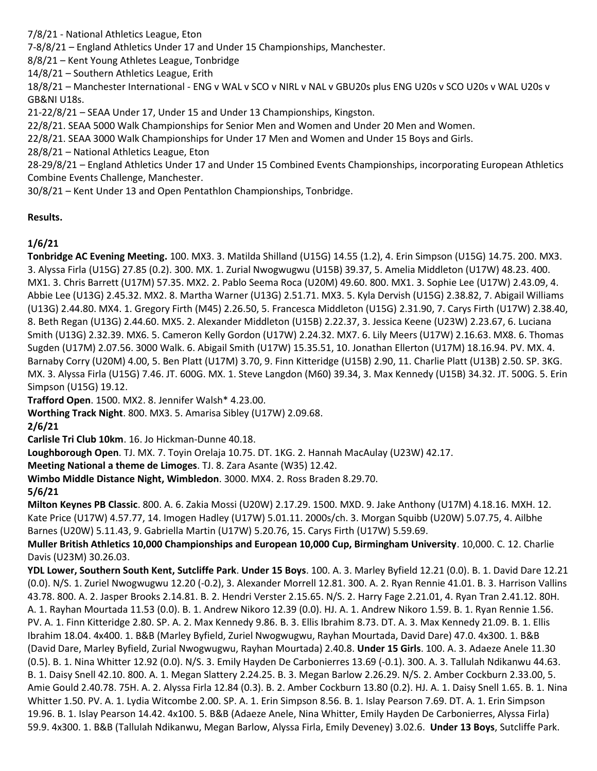7/8/21 - National Athletics League, Eton

7-8/8/21 – England Athletics Under 17 and Under 15 Championships, Manchester.

8/8/21 – Kent Young Athletes League, Tonbridge

14/8/21 – Southern Athletics League, Erith

18/8/21 – Manchester International - ENG v WAL v SCO v NIRL v NAL v GBU20s plus ENG U20s v SCO U20s v WAL U20s v GB&NI U18s.

21-22/8/21 – SEAA Under 17, Under 15 and Under 13 Championships, Kingston.

22/8/21. SEAA 5000 Walk Championships for Senior Men and Women and Under 20 Men and Women.

22/8/21. SEAA 3000 Walk Championships for Under 17 Men and Women and Under 15 Boys and Girls.

28/8/21 – National Athletics League, Eton

28-29/8/21 – England Athletics Under 17 and Under 15 Combined Events Championships, incorporating European Athletics Combine Events Challenge, Manchester.

30/8/21 – Kent Under 13 and Open Pentathlon Championships, Tonbridge.

## **Results.**

## **1/6/21**

**Tonbridge AC Evening Meeting.** 100. MX3. 3. Matilda Shilland (U15G) 14.55 (1.2), 4. Erin Simpson (U15G) 14.75. 200. MX3. 3. Alyssa Firla (U15G) 27.85 (0.2). 300. MX. 1. Zurial Nwogwugwu (U15B) 39.37, 5. Amelia Middleton (U17W) 48.23. 400. MX1. 3. Chris Barrett (U17M) 57.35. MX2. 2. Pablo Seema Roca (U20M) 49.60. 800. MX1. 3. Sophie Lee (U17W) 2.43.09, 4. Abbie Lee (U13G) 2.45.32. MX2. 8. Martha Warner (U13G) 2.51.71. MX3. 5. Kyla Dervish (U15G) 2.38.82, 7. Abigail Williams (U13G) 2.44.80. MX4. 1. Gregory Firth (M45) 2.26.50, 5. Francesca Middleton (U15G) 2.31.90, 7. Carys Firth (U17W) 2.38.40, 8. Beth Regan (U13G) 2.44.60. MX5. 2. Alexander Middleton (U15B) 2.22.37, 3. Jessica Keene (U23W) 2.23.67, 6. Luciana Smith (U13G) 2.32.39. MX6. 5. Cameron Kelly Gordon (U17W) 2.24.32. MX7. 6. Lily Meers (U17W) 2.16.63. MX8. 6. Thomas Sugden (U17M) 2.07.56. 3000 Walk. 6. Abigail Smith (U17W) 15.35.51, 10. Jonathan Ellerton (U17M) 18.16.94. PV. MX. 4. Barnaby Corry (U20M) 4.00, 5. Ben Platt (U17M) 3.70, 9. Finn Kitteridge (U15B) 2.90, 11. Charlie Platt (U13B) 2.50. SP. 3KG. MX. 3. Alyssa Firla (U15G) 7.46. JT. 600G. MX. 1. Steve Langdon (M60) 39.34, 3. Max Kennedy (U15B) 34.32. JT. 500G. 5. Erin Simpson (U15G) 19.12.

**Trafford Open**. 1500. MX2. 8. Jennifer Walsh\* 4.23.00.

**Worthing Track Night**. 800. MX3. 5. Amarisa Sibley (U17W) 2.09.68.

**2/6/21**

**Carlisle Tri Club 10km**. 16. Jo Hickman-Dunne 40.18.

**Loughborough Open**. TJ. MX. 7. Toyin Orelaja 10.75. DT. 1KG. 2. Hannah MacAulay (U23W) 42.17.

**Meeting National a theme de Limoges**. TJ. 8. Zara Asante (W35) 12.42.

**Wimbo Middle Distance Night, Wimbledon**. 3000. MX4. 2. Ross Braden 8.29.70.

## **5/6/21**

**Milton Keynes PB Classic**. 800. A. 6. Zakia Mossi (U20W) 2.17.29. 1500. MXD. 9. Jake Anthony (U17M) 4.18.16. MXH. 12. Kate Price (U17W) 4.57.77, 14. Imogen Hadley (U17W) 5.01.11. 2000s/ch. 3. Morgan Squibb (U20W) 5.07.75, 4. Ailbhe Barnes (U20W) 5.11.43, 9. Gabriella Martin (U17W) 5.20.76, 15. Carys Firth (U17W) 5.59.69.

**Muller British Athletics 10,000 Championships and European 10,000 Cup, Birmingham University**. 10,000. C. 12. Charlie Davis (U23M) 30.26.03.

**YDL Lower, Southern South Kent, Sutcliffe Park**. **Under 15 Boys**. 100. A. 3. Marley Byfield 12.21 (0.0). B. 1. David Dare 12.21 (0.0). N/S. 1. Zuriel Nwogwugwu 12.20 (-0.2), 3. Alexander Morrell 12.81. 300. A. 2. Ryan Rennie 41.01. B. 3. Harrison Vallins 43.78. 800. A. 2. Jasper Brooks 2.14.81. B. 2. Hendri Verster 2.15.65. N/S. 2. Harry Fage 2.21.01, 4. Ryan Tran 2.41.12. 80H. A. 1. Rayhan Mourtada 11.53 (0.0). B. 1. Andrew Nikoro 12.39 (0.0). HJ. A. 1. Andrew Nikoro 1.59. B. 1. Ryan Rennie 1.56. PV. A. 1. Finn Kitteridge 2.80. SP. A. 2. Max Kennedy 9.86. B. 3. Ellis Ibrahim 8.73. DT. A. 3. Max Kennedy 21.09. B. 1. Ellis Ibrahim 18.04. 4x400. 1. B&B (Marley Byfield, Zuriel Nwogwugwu, Rayhan Mourtada, David Dare) 47.0. 4x300. 1. B&B (David Dare, Marley Byfield, Zurial Nwogwugwu, Rayhan Mourtada) 2.40.8. **Under 15 Girls**. 100. A. 3. Adaeze Anele 11.30 (0.5). B. 1. Nina Whitter 12.92 (0.0). N/S. 3. Emily Hayden De Carbonierres 13.69 (-0.1). 300. A. 3. Tallulah Ndikanwu 44.63. B. 1. Daisy Snell 42.10. 800. A. 1. Megan Slattery 2.24.25. B. 3. Megan Barlow 2.26.29. N/S. 2. Amber Cockburn 2.33.00, 5. Amie Gould 2.40.78. 75H. A. 2. Alyssa Firla 12.84 (0.3). B. 2. Amber Cockburn 13.80 (0.2). HJ. A. 1. Daisy Snell 1.65. B. 1. Nina Whitter 1.50. PV. A. 1. Lydia Witcombe 2.00. SP. A. 1. Erin Simpson 8.56. B. 1. Islay Pearson 7.69. DT. A. 1. Erin Simpson 19.96. B. 1. Islay Pearson 14.42. 4x100. 5. B&B (Adaeze Anele, Nina Whitter, Emily Hayden De Carbonierres, Alyssa Firla) 59.9. 4x300. 1. B&B (Tallulah Ndikanwu, Megan Barlow, Alyssa Firla, Emily Deveney) 3.02.6. **Under 13 Boys**, Sutcliffe Park.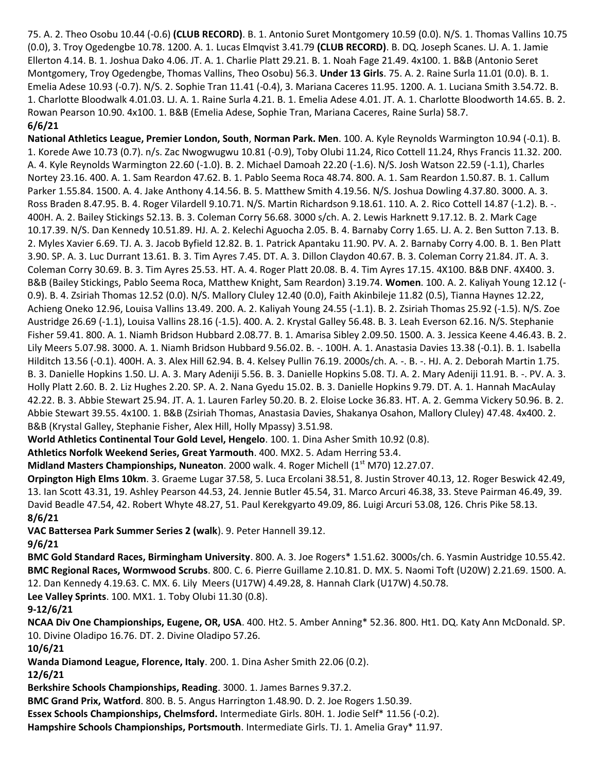75. A. 2. Theo Osobu 10.44 (-0.6) **(CLUB RECORD)**. B. 1. Antonio Suret Montgomery 10.59 (0.0). N/S. 1. Thomas Vallins 10.75 (0.0), 3. Troy Ogedengbe 10.78. 1200. A. 1. Lucas Elmqvist 3.41.79 **(CLUB RECORD)**. B. DQ. Joseph Scanes. LJ. A. 1. Jamie Ellerton 4.14. B. 1. Joshua Dako 4.06. JT. A. 1. Charlie Platt 29.21. B. 1. Noah Fage 21.49. 4x100. 1. B&B (Antonio Seret Montgomery, Troy Ogedengbe, Thomas Vallins, Theo Osobu) 56.3. **Under 13 Girls**. 75. A. 2. Raine Surla 11.01 (0.0). B. 1. Emelia Adese 10.93 (-0.7). N/S. 2. Sophie Tran 11.41 (-0.4), 3. Mariana Caceres 11.95. 1200. A. 1. Luciana Smith 3.54.72. B. 1. Charlotte Bloodwalk 4.01.03. LJ. A. 1. Raine Surla 4.21. B. 1. Emelia Adese 4.01. JT. A. 1. Charlotte Bloodworth 14.65. B. 2. Rowan Pearson 10.90. 4x100. 1. B&B (Emelia Adese, Sophie Tran, Mariana Caceres, Raine Surla) 58.7. **6/6/21**

**National Athletics League, Premier London, South**, **Norman Park. Men**. 100. A. Kyle Reynolds Warmington 10.94 (-0.1). B. 1. Korede Awe 10.73 (0.7). n/s. Zac Nwogwugwu 10.81 (-0.9), Toby Olubi 11.24, Rico Cottell 11.24, Rhys Francis 11.32. 200. A. 4. Kyle Reynolds Warmington 22.60 (-1.0). B. 2. Michael Damoah 22.20 (-1.6). N/S. Josh Watson 22.59 (-1.1), Charles Nortey 23.16. 400. A. 1. Sam Reardon 47.62. B. 1. Pablo Seema Roca 48.74. 800. A. 1. Sam Reardon 1.50.87. B. 1. Callum Parker 1.55.84. 1500. A. 4. Jake Anthony 4.14.56. B. 5. Matthew Smith 4.19.56. N/S. Joshua Dowling 4.37.80. 3000. A. 3. Ross Braden 8.47.95. B. 4. Roger Vilardell 9.10.71. N/S. Martin Richardson 9.18.61. 110. A. 2. Rico Cottell 14.87 (-1.2). B. -. 400H. A. 2. Bailey Stickings 52.13. B. 3. Coleman Corry 56.68. 3000 s/ch. A. 2. Lewis Harknett 9.17.12. B. 2. Mark Cage 10.17.39. N/S. Dan Kennedy 10.51.89. HJ. A. 2. Kelechi Aguocha 2.05. B. 4. Barnaby Corry 1.65. LJ. A. 2. Ben Sutton 7.13. B. 2. Myles Xavier 6.69. TJ. A. 3. Jacob Byfield 12.82. B. 1. Patrick Apantaku 11.90. PV. A. 2. Barnaby Corry 4.00. B. 1. Ben Platt 3.90. SP. A. 3. Luc Durrant 13.61. B. 3. Tim Ayres 7.45. DT. A. 3. Dillon Claydon 40.67. B. 3. Coleman Corry 21.84. JT. A. 3. Coleman Corry 30.69. B. 3. Tim Ayres 25.53. HT. A. 4. Roger Platt 20.08. B. 4. Tim Ayres 17.15. 4X100. B&B DNF. 4X400. 3. B&B (Bailey Stickings, Pablo Seema Roca, Matthew Knight, Sam Reardon) 3.19.74. **Women**. 100. A. 2. Kaliyah Young 12.12 (- 0.9). B. 4. Zsiriah Thomas 12.52 (0.0). N/S. Mallory Cluley 12.40 (0.0), Faith Akinbileje 11.82 (0.5), Tianna Haynes 12.22, Achieng Oneko 12.96, Louisa Vallins 13.49. 200. A. 2. Kaliyah Young 24.55 (-1.1). B. 2. Zsiriah Thomas 25.92 (-1.5). N/S. Zoe Austridge 26.69 (-1.1), Louisa Vallins 28.16 (-1.5). 400. A. 2. Krystal Galley 56.48. B. 3. Leah Everson 62.16. N/S. Stephanie Fisher 59.41. 800. A. 1. Niamh Bridson Hubbard 2.08.77. B. 1. Amarisa Sibley 2.09.50. 1500. A. 3. Jessica Keene 4.46.43. B. 2. Lily Meers 5.07.98. 3000. A. 1. Niamh Bridson Hubbard 9.56.02. B. -. 100H. A. 1. Anastasia Davies 13.38 (-0.1). B. 1. Isabella Hilditch 13.56 (-0.1). 400H. A. 3. Alex Hill 62.94. B. 4. Kelsey Pullin 76.19. 2000s/ch. A. -. B. -. HJ. A. 2. Deborah Martin 1.75. B. 3. Danielle Hopkins 1.50. LJ. A. 3. Mary Adeniji 5.56. B. 3. Danielle Hopkins 5.08. TJ. A. 2. Mary Adeniji 11.91. B. -. PV. A. 3. Holly Platt 2.60. B. 2. Liz Hughes 2.20. SP. A. 2. Nana Gyedu 15.02. B. 3. Danielle Hopkins 9.79. DT. A. 1. Hannah MacAulay 42.22. B. 3. Abbie Stewart 25.94. JT. A. 1. Lauren Farley 50.20. B. 2. Eloise Locke 36.83. HT. A. 2. Gemma Vickery 50.96. B. 2. Abbie Stewart 39.55. 4x100. 1. B&B (Zsiriah Thomas, Anastasia Davies, Shakanya Osahon, Mallory Cluley) 47.48. 4x400. 2. B&B (Krystal Galley, Stephanie Fisher, Alex Hill, Holly Mpassy) 3.51.98.

**World Athletics Continental Tour Gold Level, Hengelo**. 100. 1. Dina Asher Smith 10.92 (0.8).

**Athletics Norfolk Weekend Series, Great Yarmouth**. 400. MX2. 5. Adam Herring 53.4.

**Midland Masters Championships, Nuneaton**. 2000 walk. 4. Roger Michell (1<sup>st</sup> M70) 12.27.07.

**Orpington High Elms 10km**. 3. Graeme Lugar 37.58, 5. Luca Ercolani 38.51, 8. Justin Strover 40.13, 12. Roger Beswick 42.49, 13. Ian Scott 43.31, 19. Ashley Pearson 44.53, 24. Jennie Butler 45.54, 31. Marco Arcuri 46.38, 33. Steve Pairman 46.49, 39. David Beadle 47.54, 42. Robert Whyte 48.27, 51. Paul Kerekgyarto 49.09, 86. Luigi Arcuri 53.08, 126. Chris Pike 58.13. **8/6/21**

**VAC Battersea Park Summer Series 2 (walk**). 9. Peter Hannell 39.12.

**9/6/21**

**BMC Gold Standard Races, Birmingham University**. 800. A. 3. Joe Rogers\* 1.51.62. 3000s/ch. 6. Yasmin Austridge 10.55.42. **BMC Regional Races, Wormwood Scrubs**. 800. C. 6. Pierre Guillame 2.10.81. D. MX. 5. Naomi Toft (U20W) 2.21.69. 1500. A. 12. Dan Kennedy 4.19.63. C. MX. 6. Lily Meers (U17W) 4.49.28, 8. Hannah Clark (U17W) 4.50.78.

**Lee Valley Sprints**. 100. MX1. 1. Toby Olubi 11.30 (0.8).

**9-12/6/21**

**NCAA Div One Championships, Eugene, OR, USA**. 400. Ht2. 5. Amber Anning\* 52.36. 800. Ht1. DQ. Katy Ann McDonald. SP. 10. Divine Oladipo 16.76. DT. 2. Divine Oladipo 57.26.

**10/6/21**

**Wanda Diamond League, Florence, Italy**. 200. 1. Dina Asher Smith 22.06 (0.2).

**12/6/21**

**Berkshire Schools Championships, Reading**. 3000. 1. James Barnes 9.37.2.

**BMC Grand Prix, Watford**. 800. B. 5. Angus Harrington 1.48.90. D. 2. Joe Rogers 1.50.39.

**Essex Schools Championships, Chelmsford.** Intermediate Girls. 80H. 1. Jodie Self\* 11.56 (-0.2).

**Hampshire Schools Championships, Portsmouth**. Intermediate Girls. TJ. 1. Amelia Gray\* 11.97.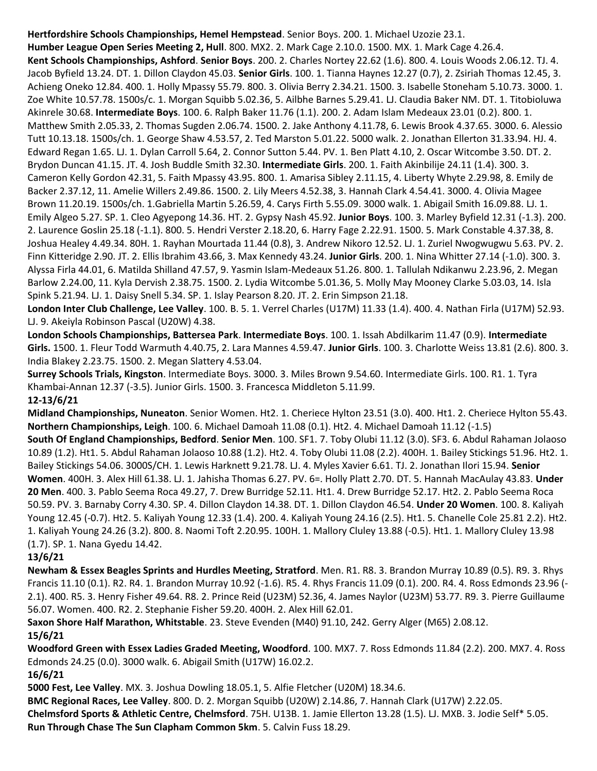**Hertfordshire Schools Championships, Hemel Hempstead**. Senior Boys. 200. 1. Michael Uzozie 23.1. **Humber League Open Series Meeting 2, Hull**. 800. MX2. 2. Mark Cage 2.10.0. 1500. MX. 1. Mark Cage 4.26.4. **Kent Schools Championships, Ashford**. **Senior Boys**. 200. 2. Charles Nortey 22.62 (1.6). 800. 4. Louis Woods 2.06.12. TJ. 4. Jacob Byfield 13.24. DT. 1. Dillon Claydon 45.03. **Senior Girls**. 100. 1. Tianna Haynes 12.27 (0.7), 2. Zsiriah Thomas 12.45, 3. Achieng Oneko 12.84. 400. 1. Holly Mpassy 55.79. 800. 3. Olivia Berry 2.34.21. 1500. 3. Isabelle Stoneham 5.10.73. 3000. 1. Zoe White 10.57.78. 1500s/c. 1. Morgan Squibb 5.02.36, 5. Ailbhe Barnes 5.29.41. LJ. Claudia Baker NM. DT. 1. Titobioluwa Akinrele 30.68. **Intermediate Boys**. 100. 6. Ralph Baker 11.76 (1.1). 200. 2. Adam Islam Medeaux 23.01 (0.2). 800. 1. Matthew Smith 2.05.33, 2. Thomas Sugden 2.06.74. 1500. 2. Jake Anthony 4.11.78, 6. Lewis Brook 4.37.65. 3000. 6. Alessio Tutt 10.13.18. 1500s/ch. 1. George Shaw 4.53.57, 2. Ted Marston 5.01.22. 5000 walk. 2. Jonathan Ellerton 31.33.94. HJ. 4. Edward Regan 1.65. LJ. 1. Dylan Carroll 5.64, 2. Connor Sutton 5.44. PV. 1. Ben Platt 4.10, 2. Oscar Witcombe 3.50. DT. 2. Brydon Duncan 41.15. JT. 4. Josh Buddle Smith 32.30. **Intermediate Girls**. 200. 1. Faith Akinbilije 24.11 (1.4). 300. 3. Cameron Kelly Gordon 42.31, 5. Faith Mpassy 43.95. 800. 1. Amarisa Sibley 2.11.15, 4. Liberty Whyte 2.29.98, 8. Emily de Backer 2.37.12, 11. Amelie Willers 2.49.86. 1500. 2. Lily Meers 4.52.38, 3. Hannah Clark 4.54.41. 3000. 4. Olivia Magee Brown 11.20.19. 1500s/ch. 1.Gabriella Martin 5.26.59, 4. Carys Firth 5.55.09. 3000 walk. 1. Abigail Smith 16.09.88. LJ. 1. Emily Algeo 5.27. SP. 1. Cleo Agyepong 14.36. HT. 2. Gypsy Nash 45.92. **Junior Boys**. 100. 3. Marley Byfield 12.31 (-1.3). 200. 2. Laurence Goslin 25.18 (-1.1). 800. 5. Hendri Verster 2.18.20, 6. Harry Fage 2.22.91. 1500. 5. Mark Constable 4.37.38, 8. Joshua Healey 4.49.34. 80H. 1. Rayhan Mourtada 11.44 (0.8), 3. Andrew Nikoro 12.52. LJ. 1. Zuriel Nwogwugwu 5.63. PV. 2. Finn Kitteridge 2.90. JT. 2. Ellis Ibrahim 43.66, 3. Max Kennedy 43.24. **Junior Girls**. 200. 1. Nina Whitter 27.14 (-1.0). 300. 3. Alyssa Firla 44.01, 6. Matilda Shilland 47.57, 9. Yasmin Islam-Medeaux 51.26. 800. 1. Tallulah Ndikanwu 2.23.96, 2. Megan Barlow 2.24.00, 11. Kyla Dervish 2.38.75. 1500. 2. Lydia Witcombe 5.01.36, 5. Molly May Mooney Clarke 5.03.03, 14. Isla Spink 5.21.94. LJ. 1. Daisy Snell 5.34. SP. 1. Islay Pearson 8.20. JT. 2. Erin Simpson 21.18.

**London Inter Club Challenge, Lee Valley**. 100. B. 5. 1. Verrel Charles (U17M) 11.33 (1.4). 400. 4. Nathan Firla (U17M) 52.93. LJ. 9. Akeiyla Robinson Pascal (U20W) 4.38.

**London Schools Championships, Battersea Park**. **Intermediate Boys**. 100. 1. Issah Abdilkarim 11.47 (0.9). **Intermediate Girls.** 1500. 1. Fleur Todd Warmuth 4.40.75, 2. Lara Mannes 4.59.47. **Junior Girls**. 100. 3. Charlotte Weiss 13.81 (2.6). 800. 3. India Blakey 2.23.75. 1500. 2. Megan Slattery 4.53.04.

**Surrey Schools Trials, Kingston**. Intermediate Boys. 3000. 3. Miles Brown 9.54.60. Intermediate Girls. 100. R1. 1. Tyra Khambai-Annan 12.37 (-3.5). Junior Girls. 1500. 3. Francesca Middleton 5.11.99.

# **12-13/6/21**

**Midland Championships, Nuneaton**. Senior Women. Ht2. 1. Cheriece Hylton 23.51 (3.0). 400. Ht1. 2. Cheriece Hylton 55.43. **Northern Championships, Leigh**. 100. 6. Michael Damoah 11.08 (0.1). Ht2. 4. Michael Damoah 11.12 (-1.5) **South Of England Championships, Bedford**. **Senior Men**. 100. SF1. 7. Toby Olubi 11.12 (3.0). SF3. 6. Abdul Rahaman Jolaoso 10.89 (1.2). Ht1. 5. Abdul Rahaman Jolaoso 10.88 (1.2). Ht2. 4. Toby Olubi 11.08 (2.2). 400H. 1. Bailey Stickings 51.96. Ht2. 1. Bailey Stickings 54.06. 3000S/CH. 1. Lewis Harknett 9.21.78. LJ. 4. Myles Xavier 6.61. TJ. 2. Jonathan Ilori 15.94. **Senior Women**. 400H. 3. Alex Hill 61.38. LJ. 1. Jahisha Thomas 6.27. PV. 6=. Holly Platt 2.70. DT. 5. Hannah MacAulay 43.83. **Under 20 Men**. 400. 3. Pablo Seema Roca 49.27, 7. Drew Burridge 52.11. Ht1. 4. Drew Burridge 52.17. Ht2. 2. Pablo Seema Roca 50.59. PV. 3. Barnaby Corry 4.30. SP. 4. Dillon Claydon 14.38. DT. 1. Dillon Claydon 46.54. **Under 20 Women**. 100. 8. Kaliyah Young 12.45 (-0.7). Ht2. 5. Kaliyah Young 12.33 (1.4). 200. 4. Kaliyah Young 24.16 (2.5). Ht1. 5. Chanelle Cole 25.81 2.2). Ht2. 1. Kaliyah Young 24.26 (3.2). 800. 8. Naomi Toft 2.20.95. 100H. 1. Mallory Cluley 13.88 (-0.5). Ht1. 1. Mallory Cluley 13.98

## (1.7). SP. 1. Nana Gyedu 14.42.

# **13/6/21**

**Newham & Essex Beagles Sprints and Hurdles Meeting, Stratford**. Men. R1. R8. 3. Brandon Murray 10.89 (0.5). R9. 3. Rhys Francis 11.10 (0.1). R2. R4. 1. Brandon Murray 10.92 (-1.6). R5. 4. Rhys Francis 11.09 (0.1). 200. R4. 4. Ross Edmonds 23.96 (- 2.1). 400. R5. 3. Henry Fisher 49.64. R8. 2. Prince Reid (U23M) 52.36, 4. James Naylor (U23M) 53.77. R9. 3. Pierre Guillaume 56.07. Women. 400. R2. 2. Stephanie Fisher 59.20. 400H. 2. Alex Hill 62.01.

**Saxon Shore Half Marathon, Whitstable**. 23. Steve Evenden (M40) 91.10, 242. Gerry Alger (M65) 2.08.12.

# **15/6/21**

**Woodford Green with Essex Ladies Graded Meeting, Woodford**. 100. MX7. 7. Ross Edmonds 11.84 (2.2). 200. MX7. 4. Ross Edmonds 24.25 (0.0). 3000 walk. 6. Abigail Smith (U17W) 16.02.2.

## **16/6/21**

**5000 Fest, Lee Valley**. MX. 3. Joshua Dowling 18.05.1, 5. Alfie Fletcher (U20M) 18.34.6.

**BMC Regional Races, Lee Valley**. 800. D. 2. Morgan Squibb (U20W) 2.14.86, 7. Hannah Clark (U17W) 2.22.05.

**Chelmsford Sports & Athletic Centre, Chelmsford**. 75H. U13B. 1. Jamie Ellerton 13.28 (1.5). LJ. MXB. 3. Jodie Self\* 5.05.

**Run Through Chase The Sun Clapham Common 5km**. 5. Calvin Fuss 18.29.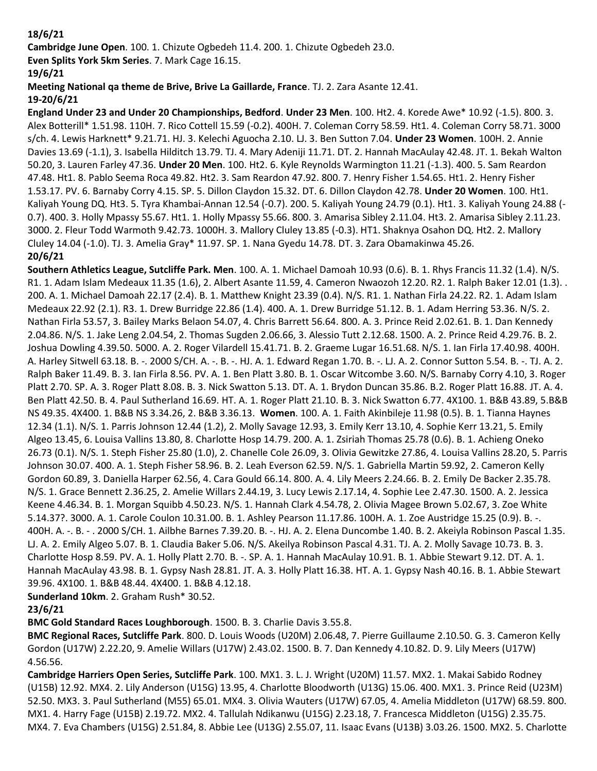## **18/6/21**

**Cambridge June Open**. 100. 1. Chizute Ogbedeh 11.4. 200. 1. Chizute Ogbedeh 23.0.

**Even Splits York 5km Series**. 7. Mark Cage 16.15.

## **19/6/21**

**Meeting National qa theme de Brive, Brive La Gaillarde, France**. TJ. 2. Zara Asante 12.41.

## **19-20/6/21**

**England Under 23 and Under 20 Championships, Bedford**. **Under 23 Men**. 100. Ht2. 4. Korede Awe\* 10.92 (-1.5). 800. 3. Alex Botterill\* 1.51.98. 110H. 7. Rico Cottell 15.59 (-0.2). 400H. 7. Coleman Corry 58.59. Ht1. 4. Coleman Corry 58.71. 3000 s/ch. 4. Lewis Harknett\* 9.21.71. HJ. 3. Kelechi Aguocha 2.10. LJ. 3. Ben Sutton 7.04. **Under 23 Women**. 100H. 2. Annie Davies 13.69 (-1.1), 3. Isabella Hilditch 13.79. TJ. 4. Mary Adeniji 11.71. DT. 2. Hannah MacAulay 42.48. JT. 1. Bekah Walton 50.20, 3. Lauren Farley 47.36. **Under 20 Men**. 100. Ht2. 6. Kyle Reynolds Warmington 11.21 (-1.3). 400. 5. Sam Reardon 47.48. Ht1. 8. Pablo Seema Roca 49.82. Ht2. 3. Sam Reardon 47.92. 800. 7. Henry Fisher 1.54.65. Ht1. 2. Henry Fisher 1.53.17. PV. 6. Barnaby Corry 4.15. SP. 5. Dillon Claydon 15.32. DT. 6. Dillon Claydon 42.78. **Under 20 Women**. 100. Ht1. Kaliyah Young DQ. Ht3. 5. Tyra Khambai-Annan 12.54 (-0.7). 200. 5. Kaliyah Young 24.79 (0.1). Ht1. 3. Kaliyah Young 24.88 (- 0.7). 400. 3. Holly Mpassy 55.67. Ht1. 1. Holly Mpassy 55.66. 800. 3. Amarisa Sibley 2.11.04. Ht3. 2. Amarisa Sibley 2.11.23. 3000. 2. Fleur Todd Warmoth 9.42.73. 1000H. 3. Mallory Cluley 13.85 (-0.3). HT1. Shaknya Osahon DQ. Ht2. 2. Mallory Cluley 14.04 (-1.0). TJ. 3. Amelia Gray\* 11.97. SP. 1. Nana Gyedu 14.78. DT. 3. Zara Obamakinwa 45.26. **20/6/21**

**Southern Athletics League, Sutcliffe Park. Men**. 100. A. 1. Michael Damoah 10.93 (0.6). B. 1. Rhys Francis 11.32 (1.4). N/S. R1. 1. Adam Islam Medeaux 11.35 (1.6), 2. Albert Asante 11.59, 4. Cameron Nwaozoh 12.20. R2. 1. Ralph Baker 12.01 (1.3). . 200. A. 1. Michael Damoah 22.17 (2.4). B. 1. Matthew Knight 23.39 (0.4). N/S. R1. 1. Nathan Firla 24.22. R2. 1. Adam Islam Medeaux 22.92 (2.1). R3. 1. Drew Burridge 22.86 (1.4). 400. A. 1. Drew Burridge 51.12. B. 1. Adam Herring 53.36. N/S. 2. Nathan Firla 53.57, 3. Bailey Marks Belaon 54.07, 4. Chris Barrett 56.64. 800. A. 3. Prince Reid 2.02.61. B. 1. Dan Kennedy 2.04.86. N/S. 1. Jake Leng 2.04.54, 2. Thomas Sugden 2.06.66, 3. Alessio Tutt 2.12.68. 1500. A. 2. Prince Reid 4.29.76. B. 2. Joshua Dowling 4.39.50. 5000. A. 2. Roger Vilardell 15.41.71. B. 2. Graeme Lugar 16.51.68. N/S. 1. Ian Firla 17.40.98. 400H. A. Harley Sitwell 63.18. B. -. 2000 S/CH. A. -. B. -. HJ. A. 1. Edward Regan 1.70. B. -. LJ. A. 2. Connor Sutton 5.54. B. -. TJ. A. 2. Ralph Baker 11.49. B. 3. Ian Firla 8.56. PV. A. 1. Ben Platt 3.80. B. 1. Oscar Witcombe 3.60. N/S. Barnaby Corry 4.10, 3. Roger Platt 2.70. SP. A. 3. Roger Platt 8.08. B. 3. Nick Swatton 5.13. DT. A. 1. Brydon Duncan 35.86. B.2. Roger Platt 16.88. JT. A. 4. Ben Platt 42.50. B. 4. Paul Sutherland 16.69. HT. A. 1. Roger Platt 21.10. B. 3. Nick Swatton 6.77. 4X100. 1. B&B 43.89, 5.B&B NS 49.35. 4X400. 1. B&B NS 3.34.26, 2. B&B 3.36.13. **Women**. 100. A. 1. Faith Akinbileje 11.98 (0.5). B. 1. Tianna Haynes 12.34 (1.1). N/S. 1. Parris Johnson 12.44 (1.2), 2. Molly Savage 12.93, 3. Emily Kerr 13.10, 4. Sophie Kerr 13.21, 5. Emily Algeo 13.45, 6. Louisa Vallins 13.80, 8. Charlotte Hosp 14.79. 200. A. 1. Zsiriah Thomas 25.78 (0.6). B. 1. Achieng Oneko 26.73 (0.1). N/S. 1. Steph Fisher 25.80 (1.0), 2. Chanelle Cole 26.09, 3. Olivia Gewitzke 27.86, 4. Louisa Vallins 28.20, 5. Parris Johnson 30.07. 400. A. 1. Steph Fisher 58.96. B. 2. Leah Everson 62.59. N/S. 1. Gabriella Martin 59.92, 2. Cameron Kelly Gordon 60.89, 3. Daniella Harper 62.56, 4. Cara Gould 66.14. 800. A. 4. Lily Meers 2.24.66. B. 2. Emily De Backer 2.35.78. N/S. 1. Grace Bennett 2.36.25, 2. Amelie Willars 2.44.19, 3. Lucy Lewis 2.17.14, 4. Sophie Lee 2.47.30. 1500. A. 2. Jessica Keene 4.46.34. B. 1. Morgan Squibb 4.50.23. N/S. 1. Hannah Clark 4.54.78, 2. Olivia Magee Brown 5.02.67, 3. Zoe White 5.14.37?. 3000. A. 1. Carole Coulon 10.31.00. B. 1. Ashley Pearson 11.17.86. 100H. A. 1. Zoe Austridge 15.25 (0.9). B. -. 400H. A. -. B. - . 2000 S/CH. 1. Ailbhe Barnes 7.39.20. B. -. HJ. A. 2. Elena Duncombe 1.40. B. 2. Akeiyla Robinson Pascal 1.35. LJ. A. 2. Emily Algeo 5.07. B. 1. Claudia Baker 5.06. N/S. Akeilya Robinson Pascal 4.31. TJ. A. 2. Molly Savage 10.73. B. 3. Charlotte Hosp 8.59. PV. A. 1. Holly Platt 2.70. B. -. SP. A. 1. Hannah MacAulay 10.91. B. 1. Abbie Stewart 9.12. DT. A. 1. Hannah MacAulay 43.98. B. 1. Gypsy Nash 28.81. JT. A. 3. Holly Platt 16.38. HT. A. 1. Gypsy Nash 40.16. B. 1. Abbie Stewart 39.96. 4X100. 1. B&B 48.44. 4X400. 1. B&B 4.12.18.

**Sunderland 10km**. 2. Graham Rush\* 30.52.

## **23/6/21**

**BMC Gold Standard Races Loughborough**. 1500. B. 3. Charlie Davis 3.55.8.

**BMC Regional Races, Sutcliffe Park**. 800. D. Louis Woods (U20M) 2.06.48, 7. Pierre Guillaume 2.10.50. G. 3. Cameron Kelly Gordon (U17W) 2.22.20, 9. Amelie Willars (U17W) 2.43.02. 1500. B. 7. Dan Kennedy 4.10.82. D. 9. Lily Meers (U17W) 4.56.56.

**Cambridge Harriers Open Series, Sutcliffe Park**. 100. MX1. 3. L. J. Wright (U20M) 11.57. MX2. 1. Makai Sabido Rodney (U15B) 12.92. MX4. 2. Lily Anderson (U15G) 13.95, 4. Charlotte Bloodworth (U13G) 15.06. 400. MX1. 3. Prince Reid (U23M) 52.50. MX3. 3. Paul Sutherland (M55) 65.01. MX4. 3. Olivia Wauters (U17W) 67.05, 4. Amelia Middleton (U17W) 68.59. 800. MX1. 4. Harry Fage (U15B) 2.19.72. MX2. 4. Tallulah Ndikanwu (U15G) 2.23.18, 7. Francesca Middleton (U15G) 2.35.75. MX4. 7. Eva Chambers (U15G) 2.51.84, 8. Abbie Lee (U13G) 2.55.07, 11. Isaac Evans (U13B) 3.03.26. 1500. MX2. 5. Charlotte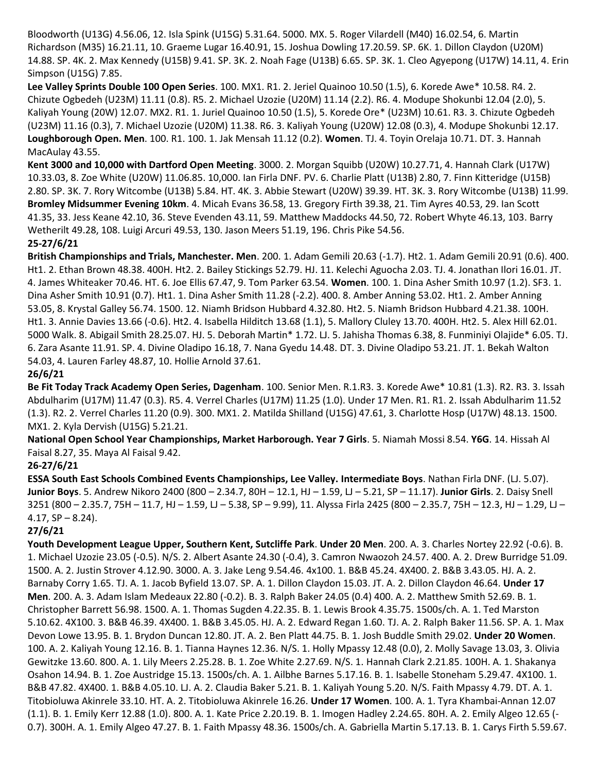Bloodworth (U13G) 4.56.06, 12. Isla Spink (U15G) 5.31.64. 5000. MX. 5. Roger Vilardell (M40) 16.02.54, 6. Martin Richardson (M35) 16.21.11, 10. Graeme Lugar 16.40.91, 15. Joshua Dowling 17.20.59. SP. 6K. 1. Dillon Claydon (U20M) 14.88. SP. 4K. 2. Max Kennedy (U15B) 9.41. SP. 3K. 2. Noah Fage (U13B) 6.65. SP. 3K. 1. Cleo Agyepong (U17W) 14.11, 4. Erin Simpson (U15G) 7.85.

**Lee Valley Sprints Double 100 Open Series**. 100. MX1. R1. 2. Jeriel Quainoo 10.50 (1.5), 6. Korede Awe\* 10.58. R4. 2. Chizute Ogbedeh (U23M) 11.11 (0.8). R5. 2. Michael Uzozie (U20M) 11.14 (2.2). R6. 4. Modupe Shokunbi 12.04 (2.0), 5. Kaliyah Young (20W) 12.07. MX2. R1. 1. Juriel Quainoo 10.50 (1.5), 5. Korede Ore\* (U23M) 10.61. R3. 3. Chizute Ogbedeh (U23M) 11.16 (0.3), 7. Michael Uzozie (U20M) 11.38. R6. 3. Kaliyah Young (U20W) 12.08 (0.3), 4. Modupe Shokunbi 12.17. **Loughborough Open. Men**. 100. R1. 100. 1. Jak Mensah 11.12 (0.2). **Women**. TJ. 4. Toyin Orelaja 10.71. DT. 3. Hannah MacAulay 43.55.

**Kent 3000 and 10,000 with Dartford Open Meeting**. 3000. 2. Morgan Squibb (U20W) 10.27.71, 4. Hannah Clark (U17W) 10.33.03, 8. Zoe White (U20W) 11.06.85. 10,000. Ian Firla DNF. PV. 6. Charlie Platt (U13B) 2.80, 7. Finn Kitteridge (U15B) 2.80. SP. 3K. 7. Rory Witcombe (U13B) 5.84. HT. 4K. 3. Abbie Stewart (U20W) 39.39. HT. 3K. 3. Rory Witcombe (U13B) 11.99. **Bromley Midsummer Evening 10km**. 4. Micah Evans 36.58, 13. Gregory Firth 39.38, 21. Tim Ayres 40.53, 29. Ian Scott 41.35, 33. Jess Keane 42.10, 36. Steve Evenden 43.11, 59. Matthew Maddocks 44.50, 72. Robert Whyte 46.13, 103. Barry Wetherilt 49.28, 108. Luigi Arcuri 49.53, 130. Jason Meers 51.19, 196. Chris Pike 54.56.

#### **25-27/6/21**

**British Championships and Trials, Manchester. Men**. 200. 1. Adam Gemili 20.63 (-1.7). Ht2. 1. Adam Gemili 20.91 (0.6). 400. Ht1. 2. Ethan Brown 48.38. 400H. Ht2. 2. Bailey Stickings 52.79. HJ. 11. Kelechi Aguocha 2.03. TJ. 4. Jonathan Ilori 16.01. JT. 4. James Whiteaker 70.46. HT. 6. Joe Ellis 67.47, 9. Tom Parker 63.54. **Women**. 100. 1. Dina Asher Smith 10.97 (1.2). SF3. 1. Dina Asher Smith 10.91 (0.7). Ht1. 1. Dina Asher Smith 11.28 (-2.2). 400. 8. Amber Anning 53.02. Ht1. 2. Amber Anning 53.05, 8. Krystal Galley 56.74. 1500. 12. Niamh Bridson Hubbard 4.32.80. Ht2. 5. Niamh Bridson Hubbard 4.21.38. 100H. Ht1. 3. Annie Davies 13.66 (-0.6). Ht2. 4. Isabella Hilditch 13.68 (1.1), 5. Mallory Cluley 13.70. 400H. Ht2. 5. Alex Hill 62.01. 5000 Walk. 8. Abigail Smith 28.25.07. HJ. 5. Deborah Martin\* 1.72. LJ. 5. Jahisha Thomas 6.38, 8. Funminiyi Olajide\* 6.05. TJ. 6. Zara Asante 11.91. SP. 4. Divine Oladipo 16.18, 7. Nana Gyedu 14.48. DT. 3. Divine Oladipo 53.21. JT. 1. Bekah Walton 54.03, 4. Lauren Farley 48.87, 10. Hollie Arnold 37.61.

## **26/6/21**

**Be Fit Today Track Academy Open Series, Dagenham**. 100. Senior Men. R.1.R3. 3. Korede Awe\* 10.81 (1.3). R2. R3. 3. Issah Abdulharim (U17M) 11.47 (0.3). R5. 4. Verrel Charles (U17M) 11.25 (1.0). Under 17 Men. R1. R1. 2. Issah Abdulharim 11.52 (1.3). R2. 2. Verrel Charles 11.20 (0.9). 300. MX1. 2. Matilda Shilland (U15G) 47.61, 3. Charlotte Hosp (U17W) 48.13. 1500. MX1. 2. Kyla Dervish (U15G) 5.21.21.

**National Open School Year Championships, Market Harborough. Year 7 Girls**. 5. Niamah Mossi 8.54. **Y6G**. 14. Hissah Al Faisal 8.27, 35. Maya Al Faisal 9.42.

## **26-27/6/21**

**ESSA South East Schools Combined Events Championships, Lee Valley. Intermediate Boys**. Nathan Firla DNF. (LJ. 5.07). **Junior Boys**. 5. Andrew Nikoro 2400 (800 – 2.34.7, 80H – 12.1, HJ – 1.59, LJ – 5.21, SP – 11.17). **Junior Girls**. 2. Daisy Snell 3251 (800 – 2.35.7, 75H – 11.7, HJ – 1.59, LJ – 5.38, SP – 9.99), 11. Alyssa Firla 2425 (800 – 2.35.7, 75H – 12.3, HJ – 1.29, LJ –  $4.17, SP - 8.24$ ).

## **27/6/21**

**Youth Development League Upper, Southern Kent, Sutcliffe Park**. **Under 20 Men**. 200. A. 3. Charles Nortey 22.92 (-0.6). B. 1. Michael Uzozie 23.05 (-0.5). N/S. 2. Albert Asante 24.30 (-0.4), 3. Camron Nwaozoh 24.57. 400. A. 2. Drew Burridge 51.09. 1500. A. 2. Justin Strover 4.12.90. 3000. A. 3. Jake Leng 9.54.46. 4x100. 1. B&B 45.24. 4X400. 2. B&B 3.43.05. HJ. A. 2. Barnaby Corry 1.65. TJ. A. 1. Jacob Byfield 13.07. SP. A. 1. Dillon Claydon 15.03. JT. A. 2. Dillon Claydon 46.64. **Under 17 Men**. 200. A. 3. Adam Islam Medeaux 22.80 (-0.2). B. 3. Ralph Baker 24.05 (0.4) 400. A. 2. Matthew Smith 52.69. B. 1. Christopher Barrett 56.98. 1500. A. 1. Thomas Sugden 4.22.35. B. 1. Lewis Brook 4.35.75. 1500s/ch. A. 1. Ted Marston 5.10.62. 4X100. 3. B&B 46.39. 4X400. 1. B&B 3.45.05. HJ. A. 2. Edward Regan 1.60. TJ. A. 2. Ralph Baker 11.56. SP. A. 1. Max Devon Lowe 13.95. B. 1. Brydon Duncan 12.80. JT. A. 2. Ben Platt 44.75. B. 1. Josh Buddle Smith 29.02. **Under 20 Women**. 100. A. 2. Kaliyah Young 12.16. B. 1. Tianna Haynes 12.36. N/S. 1. Holly Mpassy 12.48 (0.0), 2. Molly Savage 13.03, 3. Olivia Gewitzke 13.60. 800. A. 1. Lily Meers 2.25.28. B. 1. Zoe White 2.27.69. N/S. 1. Hannah Clark 2.21.85. 100H. A. 1. Shakanya Osahon 14.94. B. 1. Zoe Austridge 15.13. 1500s/ch. A. 1. Ailbhe Barnes 5.17.16. B. 1. Isabelle Stoneham 5.29.47. 4X100. 1. B&B 47.82. 4X400. 1. B&B 4.05.10. LJ. A. 2. Claudia Baker 5.21. B. 1. Kaliyah Young 5.20. N/S. Faith Mpassy 4.79. DT. A. 1. Titobioluwa Akinrele 33.10. HT. A. 2. Titobioluwa Akinrele 16.26. **Under 17 Women**. 100. A. 1. Tyra Khambai-Annan 12.07 (1.1). B. 1. Emily Kerr 12.88 (1.0). 800. A. 1. Kate Price 2.20.19. B. 1. Imogen Hadley 2.24.65. 80H. A. 2. Emily Algeo 12.65 (- 0.7). 300H. A. 1. Emily Algeo 47.27. B. 1. Faith Mpassy 48.36. 1500s/ch. A. Gabriella Martin 5.17.13. B. 1. Carys Firth 5.59.67.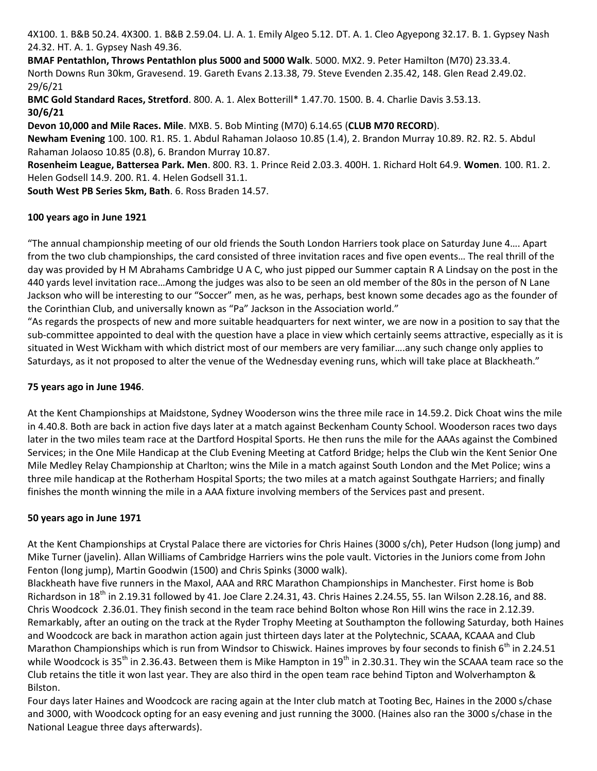4X100. 1. B&B 50.24. 4X300. 1. B&B 2.59.04. LJ. A. 1. Emily Algeo 5.12. DT. A. 1. Cleo Agyepong 32.17. B. 1. Gypsey Nash 24.32. HT. A. 1. Gypsey Nash 49.36.

**BMAF Pentathlon, Throws Pentathlon plus 5000 and 5000 Walk**. 5000. MX2. 9. Peter Hamilton (M70) 23.33.4. North Downs Run 30km, Gravesend. 19. Gareth Evans 2.13.38, 79. Steve Evenden 2.35.42, 148. Glen Read 2.49.02. 29/6/21

**BMC Gold Standard Races, Stretford**. 800. A. 1. Alex Botterill\* 1.47.70. 1500. B. 4. Charlie Davis 3.53.13. **30/6/21**

**Devon 10,000 and Mile Races. Mile**. MXB. 5. Bob Minting (M70) 6.14.65 (**CLUB M70 RECORD**).

**Newham Evening** 100. 100. R1. R5. 1. Abdul Rahaman Jolaoso 10.85 (1.4), 2. Brandon Murray 10.89. R2. R2. 5. Abdul Rahaman Jolaoso 10.85 (0.8), 6. Brandon Murray 10.87.

**Rosenheim League, Battersea Park. Men**. 800. R3. 1. Prince Reid 2.03.3. 400H. 1. Richard Holt 64.9. **Women**. 100. R1. 2. Helen Godsell 14.9. 200. R1. 4. Helen Godsell 31.1.

**South West PB Series 5km, Bath**. 6. Ross Braden 14.57.

#### **100 years ago in June 1921**

"The annual championship meeting of our old friends the South London Harriers took place on Saturday June 4…. Apart from the two club championships, the card consisted of three invitation races and five open events… The real thrill of the day was provided by H M Abrahams Cambridge U A C, who just pipped our Summer captain R A Lindsay on the post in the 440 yards level invitation race…Among the judges was also to be seen an old member of the 80s in the person of N Lane Jackson who will be interesting to our "Soccer" men, as he was, perhaps, best known some decades ago as the founder of the Corinthian Club, and universally known as "Pa" Jackson in the Association world."

"As regards the prospects of new and more suitable headquarters for next winter, we are now in a position to say that the sub-committee appointed to deal with the question have a place in view which certainly seems attractive, especially as it is situated in West Wickham with which district most of our members are very familiar….any such change only applies to Saturdays, as it not proposed to alter the venue of the Wednesday evening runs, which will take place at Blackheath."

#### **75 years ago in June 1946**.

At the Kent Championships at Maidstone, Sydney Wooderson wins the three mile race in 14.59.2. Dick Choat wins the mile in 4.40.8. Both are back in action five days later at a match against Beckenham County School. Wooderson races two days later in the two miles team race at the Dartford Hospital Sports. He then runs the mile for the AAAs against the Combined Services; in the One Mile Handicap at the Club Evening Meeting at Catford Bridge; helps the Club win the Kent Senior One Mile Medley Relay Championship at Charlton; wins the Mile in a match against South London and the Met Police; wins a three mile handicap at the Rotherham Hospital Sports; the two miles at a match against Southgate Harriers; and finally finishes the month winning the mile in a AAA fixture involving members of the Services past and present.

## **50 years ago in June 1971**

At the Kent Championships at Crystal Palace there are victories for Chris Haines (3000 s/ch), Peter Hudson (long jump) and Mike Turner (javelin). Allan Williams of Cambridge Harriers wins the pole vault. Victories in the Juniors come from John Fenton (long jump), Martin Goodwin (1500) and Chris Spinks (3000 walk).

Blackheath have five runners in the Maxol, AAA and RRC Marathon Championships in Manchester. First home is Bob Richardson in  $18^{th}$  in 2.19.31 followed by 41. Joe Clare 2.24.31, 43. Chris Haines 2.24.55, 55. Ian Wilson 2.28.16, and 88. Chris Woodcock 2.36.01. They finish second in the team race behind Bolton whose Ron Hill wins the race in 2.12.39. Remarkably, after an outing on the track at the Ryder Trophy Meeting at Southampton the following Saturday, both Haines and Woodcock are back in marathon action again just thirteen days later at the Polytechnic, SCAAA, KCAAA and Club Marathon Championships which is run from Windsor to Chiswick. Haines improves by four seconds to finish  $6^{th}$  in 2.24.51 while Woodcock is 35<sup>th</sup> in 2.36.43. Between them is Mike Hampton in 19<sup>th</sup> in 2.30.31. They win the SCAAA team race so the Club retains the title it won last year. They are also third in the open team race behind Tipton and Wolverhampton & Bilston.

Four days later Haines and Woodcock are racing again at the Inter club match at Tooting Bec, Haines in the 2000 s/chase and 3000, with Woodcock opting for an easy evening and just running the 3000. (Haines also ran the 3000 s/chase in the National League three days afterwards).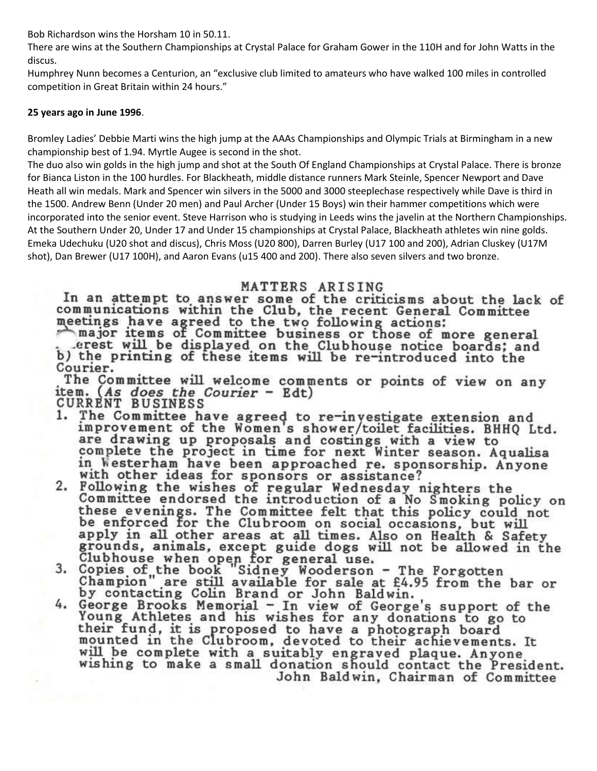Bob Richardson wins the Horsham 10 in 50.11.

There are wins at the Southern Championships at Crystal Palace for Graham Gower in the 110H and for John Watts in the discus.

Humphrey Nunn becomes a Centurion, an "exclusive club limited to amateurs who have walked 100 miles in controlled competition in Great Britain within 24 hours."

#### **25 years ago in June 1996**.

Bromley Ladies' Debbie Marti wins the high jump at the AAAs Championships and Olympic Trials at Birmingham in a new championship best of 1.94. Myrtle Augee is second in the shot.

The duo also win golds in the high jump and shot at the South Of England Championships at Crystal Palace. There is bronze for Bianca Liston in the 100 hurdles. For Blackheath, middle distance runners Mark Steinle, Spencer Newport and Dave Heath all win medals. Mark and Spencer win silvers in the 5000 and 3000 steeplechase respectively while Dave is third in the 1500. Andrew Benn (Under 20 men) and Paul Archer (Under 15 Boys) win their hammer competitions which were incorporated into the senior event. Steve Harrison who is studying in Leeds wins the javelin at the Northern Championships. At the Southern Under 20, Under 17 and Under 15 championships at Crystal Palace, Blackheath athletes win nine golds. Emeka Udechuku (U20 shot and discus), Chris Moss (U20 800), Darren Burley (U17 100 and 200), Adrian Cluskey (U17M shot), Dan Brewer (U17 100H), and Aaron Evans (u15 400 and 200). There also seven silvers and two bronze.

# MATTERS ARISING

In an attempt to answer some of the criticisms about the lack of communications within the Club, the recent General Committee meetings have agreed to the two following actions:<br>major items of Committee business or those of more general

erest will be displayed on the Clubhouse notice boards; and b) the printing of these items will be re-introduced into the Courier.

The Committee will welcome comments or points of view on any item. (As does the Courier - Edt) **CURRENT BUSINESS** 

- 1. The Committee have agreed to re-investigate extension and improvement of the Women's shower/toilet facilities. BHHQ Ltd. are drawing up proposals and costings with a view to complete the project in time for next Winter season. Aqualisa<br>in Westerham have been approached re. sponsorship. Anyone with other ideas for sponsors or assistance?
- 2. Following the wishes of regular Wednesday nighters the<br>Committee endorsed the introduction of a No Smoking policy on these evenings. The Committee felt that this policy could not be enforced for the Clubroom on social occasions, but will apply in all other areas at all times. Also on Health & Safety grounds, animals, except guide dogs will not be allowed in the
- Clubhouse when open for general use.<br>Copies of the book "Sidney Wooderson The Forgotten<br>Champion" are still available for sale at £4.95 from the bar or<br>by contacting Colin Brand or John Baldwin. 3.
- by contacting Colin Brand or John Baldwin.<br>4. George Brooks Memorial In view of George's support of the<br>Young Athletes and his wishes for any donations to go to their fund, it is proposed to have a photograph board mounted in the Clubroom, devoted to their achievements. It<br>will be complete with a suitably engraved plaque. Anyone wishing to make a small donation should contact the President. John Baldwin, Chairman of Committee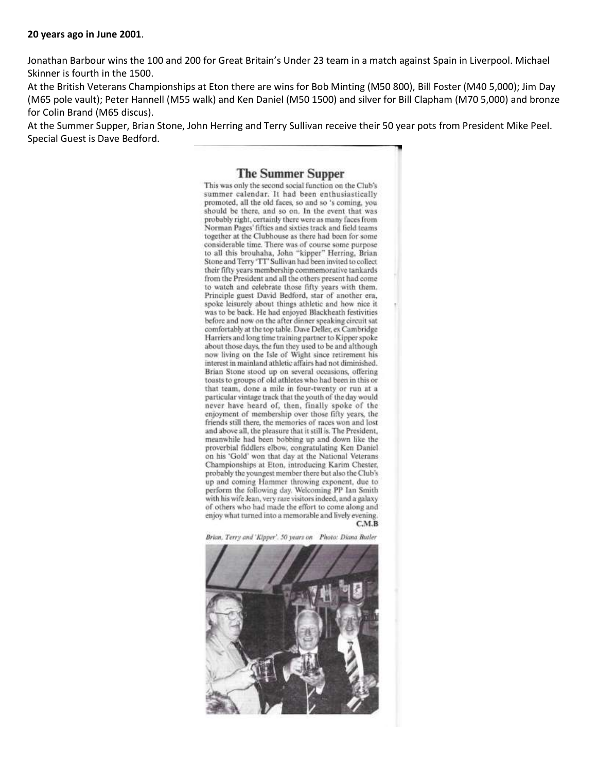Jonathan Barbour wins the 100 and 200 for Great Britain's Under 23 team in a match against Spain in Liverpool. Michael Skinner is fourth in the 1500.

At the British Veterans Championships at Eton there are wins for Bob Minting (M50 800), Bill Foster (M40 5,000); Jim Day (M65 pole vault); Peter Hannell (M55 walk) and Ken Daniel (M50 1500) and silver for Bill Clapham (M70 5,000) and bronze for Colin Brand (M65 discus).

At the Summer Supper, Brian Stone, John Herring and Terry Sullivan receive their 50 year pots from President Mike Peel. Special Guest is Dave Bedford.

#### **The Summer Supper**

This was only the second social function on the Club's summer calendar. It had been enthusiastically promoted, all the old faces, so and so 's coming, you should be there, and so on. In the event that was probably right, certainly there were as many faces from Norman Pages' fifties and sixties track and field teams together at the Clubhouse as there had been for some considerable time. There was of course some purpose to all this brouhaha, John "kipper" Herring, Brian Stone and Terry 'TT' Sullivan had been invited to collect their fifty years membership commemorative tankards from the President and all the others present had come to watch and celebrate those fifty years with them. Principle guest David Bedford, star of another era, spoke leisurely about things athletic and how nice it was to be back. He had enjoyed Blackheath festivities before and now on the after dinner speaking circuit sat comfortably at the top table. Dave Deller, ex Cambridge Harriers and long time training partner to Kipper spoke about those days, the fun they used to be and although now living on the Isle of Wight since retirement his interest in mainland athletic affairs had not diminished. Brian Stone stood up on several occasions, offering toasts to groups of old athletes who had been in this or that team, done a mile in four-twenty or run at a particular vintage track that the youth of the day would never have heard of, then, finally spoke of the enjoyment of membership over those fifty years, the friends still there, the memories of races won and lost and above all, the pleasure that it still is. The President, meanwhile had been bobbing up and down like the proverbial fiddlers elbow, congratulating Ken Daniel on his 'Gold' won that day at the National Veterans Championships at Eton, introducing Karim Chester, probably the youngest member there but also the Club's up and coming Hammer throwing exponent, due to perform the following day. Welcoming PP Ian Smith with his wife Jean, very rare visitors indeed, and a galaxy of others who had made the effort to come along and enjoy what turned into a memorable and lively evening.  $C.M.B$ 

Brian, Terry and 'Kipper'. 50 years on Photo: Diana Butler

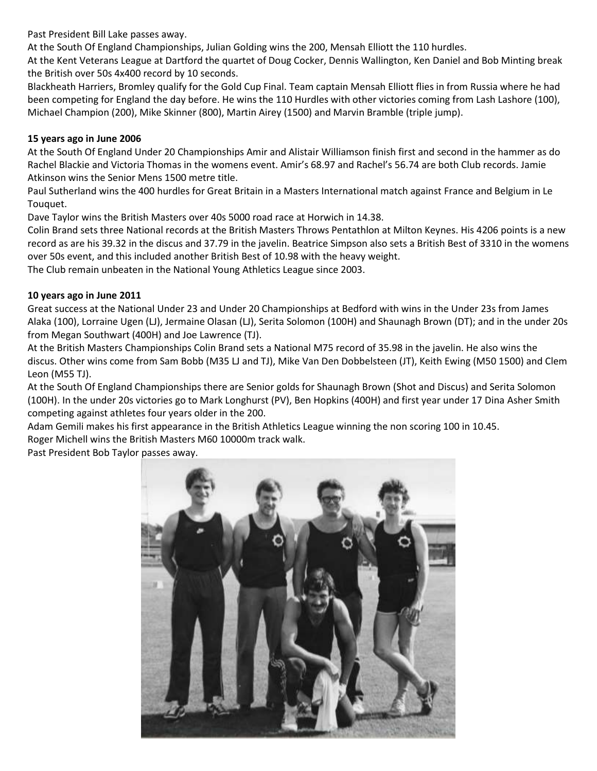Past President Bill Lake passes away.

At the South Of England Championships, Julian Golding wins the 200, Mensah Elliott the 110 hurdles.

At the Kent Veterans League at Dartford the quartet of Doug Cocker, Dennis Wallington, Ken Daniel and Bob Minting break the British over 50s 4x400 record by 10 seconds.

Blackheath Harriers, Bromley qualify for the Gold Cup Final. Team captain Mensah Elliott flies in from Russia where he had been competing for England the day before. He wins the 110 Hurdles with other victories coming from Lash Lashore (100), Michael Champion (200), Mike Skinner (800), Martin Airey (1500) and Marvin Bramble (triple jump).

#### **15 years ago in June 2006**

At the South Of England Under 20 Championships Amir and Alistair Williamson finish first and second in the hammer as do Rachel Blackie and Victoria Thomas in the womens event. Amir's 68.97 and Rachel's 56.74 are both Club records. Jamie Atkinson wins the Senior Mens 1500 metre title.

Paul Sutherland wins the 400 hurdles for Great Britain in a Masters International match against France and Belgium in Le Touquet.

Dave Taylor wins the British Masters over 40s 5000 road race at Horwich in 14.38.

Colin Brand sets three National records at the British Masters Throws Pentathlon at Milton Keynes. His 4206 points is a new record as are his 39.32 in the discus and 37.79 in the javelin. Beatrice Simpson also sets a British Best of 3310 in the womens over 50s event, and this included another British Best of 10.98 with the heavy weight.

The Club remain unbeaten in the National Young Athletics League since 2003.

## **10 years ago in June 2011**

Great success at the National Under 23 and Under 20 Championships at Bedford with wins in the Under 23s from James Alaka (100), Lorraine Ugen (LJ), Jermaine Olasan (LJ), Serita Solomon (100H) and Shaunagh Brown (DT); and in the under 20s from Megan Southwart (400H) and Joe Lawrence (TJ).

At the British Masters Championships Colin Brand sets a National M75 record of 35.98 in the javelin. He also wins the discus. Other wins come from Sam Bobb (M35 LJ and TJ), Mike Van Den Dobbelsteen (JT), Keith Ewing (M50 1500) and Clem Leon (M55 TJ).

At the South Of England Championships there are Senior golds for Shaunagh Brown (Shot and Discus) and Serita Solomon (100H). In the under 20s victories go to Mark Longhurst (PV), Ben Hopkins (400H) and first year under 17 Dina Asher Smith competing against athletes four years older in the 200.

Adam Gemili makes his first appearance in the British Athletics League winning the non scoring 100 in 10.45. Roger Michell wins the British Masters M60 10000m track walk.

Past President Bob Taylor passes away.